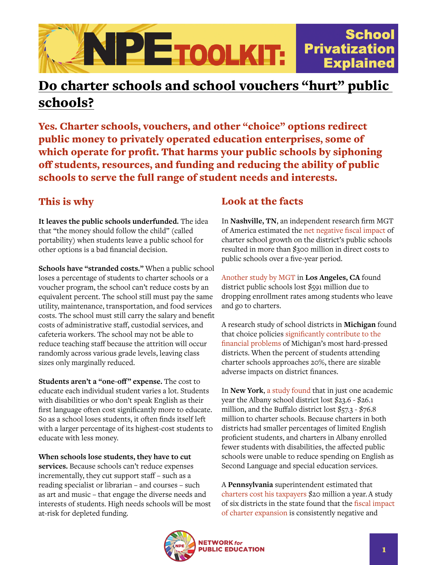

## Do charter schools and school vouchers "hurt" public schools?

Yes. Charter schools, vouchers, and other "choice" options redirect public money to privately operated education enterprises, some of which operate for profit. That harms your public schools by siphoning off students, resources, and funding and reducing the ability of public schools to serve the full range of student needs and interests.

## This is why

**It leaves the public schools underfunded.** The idea that "the money should follow the child" (called portability) when students leave a public school for other options is a bad financial decision.

**Schools have "stranded costs."** When a public school loses a percentage of students to charter schools or a voucher program, the school can't reduce costs by an equivalent percent. The school still must pay the same utility, maintenance, transportation, and food services costs. The school must still carry the salary and benefit costs of administrative staff, custodial services, and cafeteria workers. The school may not be able to reduce teaching staff because the attrition will occur randomly across various grade levels, leaving class sizes only marginally reduced.

**Students aren't a "one-off" expense.** The cost to educate each individual student varies a lot. Students with disabilities or who don't speak English as their first language often cost significantly more to educate. So as a school loses students, it often finds itself left with a larger percentage of its highest-cost students to educate with less money.

**When schools lose students, they have to cut services.** Because schools can't reduce expenses incrementally, they cut support staff – such as a reading specialist or librarian – and courses – such as art and music – that engage the diverse needs and interests of students. High needs schools will be most at-risk for depleted funding.

## Look at the facts

In **Nashville, TN**, an independent research firm MGT of America estimated the [net negative fiscal impact](https://docplayer.net/1285233-Charter-school-financial-impact-model.html) of charter school growth on the district's public schools resulted in more than \$300 million in direct costs to public schools over a five-year period.

[Another study by MGT](http://thecostofcharterschools.org/ccs/) in **Los Angeles, CA** found district public schools lost \$591 million due to dropping enrollment rates among students who leave and go to charters.

A research study of school districts in **Michigan** found that choice policies [significantly contribute to the](https://www.fundmischools.org/wp-content/uploads/2017/03/WP51-Which-Districts-Get-Into-Financial-Trouble-Arsen.pdf)  [financial problems](https://www.fundmischools.org/wp-content/uploads/2017/03/WP51-Which-Districts-Get-Into-Financial-Trouble-Arsen.pdf) of Michigan's most hard-pressed districts. When the percent of students attending charter schools approaches 20%, there are sizable adverse impacts on district finances.

In **New York**, [a study found](https://www.mitpressjournals.org/doi/pdf/10.1162/EDFP_a_00121) that in just one academic year the Albany school district lost \$23.6 - \$26.1 million, and the Buffalo district lost \$57.3 - \$76.8 million to charter schools. Because charters in both districts had smaller percentages of limited English proficient students, and charters in Albany enrolled fewer students with disabilities, the affected public schools were unable to reduce spending on English as Second Language and special education services.

A **Pennsylvania** superintendent estimated that [charters cost his taxpayers](https://www.washingtonpost.com/news/answer-sheet/wp/2017/01/09/a-disturbing-look-at-how-charter-schools-are-hurting-a-traditional-school-district/) \$20 million a year.A study of six districts in the state found that the [fiscal impact](https://8rri53pm0cs22jk3vvqna1ub-wpengine.netdna-ssl.com/wp-content/uploads/2017/09/RFA-Fiscal-Impact-of-Charter-Expansion-September-2017.pdf)  [of charter expansion](https://8rri53pm0cs22jk3vvqna1ub-wpengine.netdna-ssl.com/wp-content/uploads/2017/09/RFA-Fiscal-Impact-of-Charter-Expansion-September-2017.pdf) is consistently negative and